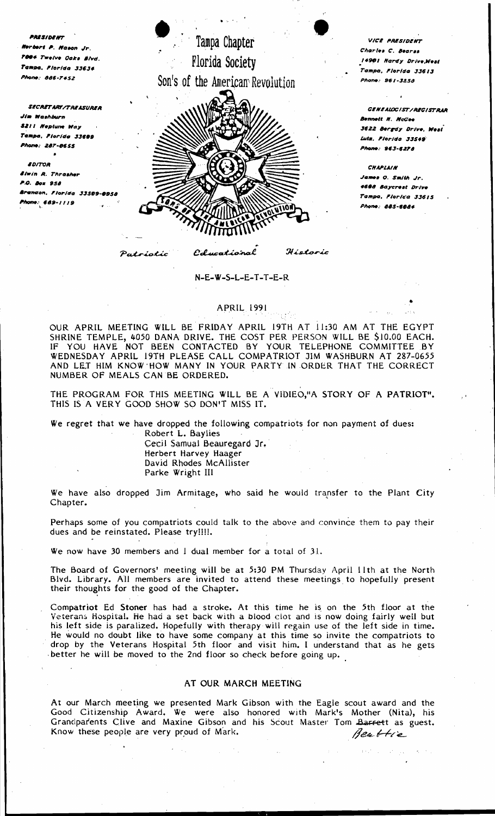PRESIDENT erbert P. Nason Jr. 94 Twelve Oaks Blvd. Tampa, Plorida 33634 ne: 886-7452

**SECRETARY/TREASURER** Jim Washburn **SZII Neplune Way** Tampa, Plorida 33609 Phone: 287-0655

 $\bullet$ 

**EDITOR Elwin R. Thrasher** P.O. Box 958 <mark>Ara</mark>ndon, Florida 33509 -0958 Mone: 689-1119

Tampa Chapter Florida Society Son's of the American Revolution



Colucational

Patriotic

Historic

## N-E-W-S-L-E-T-T-E-R

## **APRIL 1991**

OUR APRIL MEETING WILL BE FRIDAY APRIL 19TH AT 11:30 AM AT THE EGYPT<br>SHRINE TEMPLE, 4050 DANA DRIVE. THE COST PER PERSON WILL BE \$10.00 EACH.<br>IF YOU HAVE NOT BEEN CONTACTED BY YOUR TELEPHONE COMMITTEE BY WEDNESDAY APRIL 19TH PLEASE CALL COMPATRIOT JIM WASHBURN AT 287-0655 AND LET HIM KNOW HOW MANY IN YOUR PARTY IN ORDER THAT THE CORRECT NUMBER OF MEALS CAN BE ORDERED.

THE PROGRAM FOR THIS MEETING WILL BE A VIDIEO,"A STORY OF A PATRIOT". THIS IS A VERY GOOD SHOW SO DON'T MISS IT.

We regret that we have dropped the following compatriots for non payment of dues:

Robert L. Baylies Cecil Samual Beauregard Jr. Herbert Harvey Haager David Rhodes McAllister

Parke Wright III

We have also dropped Jim Armitage, who said he would transfer to the Plant City Chapter.

Perhaps some of you compatriots could talk to the above and convince them to pay their dues and be reinstated. Please try!!!!.

We now have 30 members and 1 dual member for a total of 31.

The Board of Governors' meeting will be at 5:30 PM Thursday April 11th at the North Blvd. Library. All members are invited to attend these meetings to hopefully present their thoughts for the good of the Chapter.

Compatriot Ed Stoner has had a stroke. At this time he is on the 5th floor at the Veterans Hospital. He had a set back with a blood clot and is now doing fairly well but his left side is paralized. Hopefully with therapy will regain use of the left side in time. He would no doubt like to have some company at this time so invite the compatriots to drop by the Veterans Hospital 5th floor and visit him. I understand that as he gets better he will be moved to the 2nd floor so check before going up.

## AT OUR MARCH MEETING

At our March meeting we presented Mark Gibson with the Eagle scout award and the Good Citizenship Award. We were also honored with Mark's Mother (Nita), his Grandparents Clive and Maxine Gibson and his Scout Master Tom Barrett as guest. Know these people are very proud of Mark. Beattie

VICE PRESIDENT Charles C Beares 14901 Hardy Drive, West Tampa, Florida 33613 Phone: 961-3858

**GENEALOGIST/REGISTRAR Bennett H. NcCes** 3622 Bergdy Drive, West Luta, Plorida 33549 .<br>Phone: 963-6274

**CHAPLAIN** ,<br>James O. Smith Jr. 4608 Baycrest Drive Tampa, Florica 33615 Phone: 885-6084